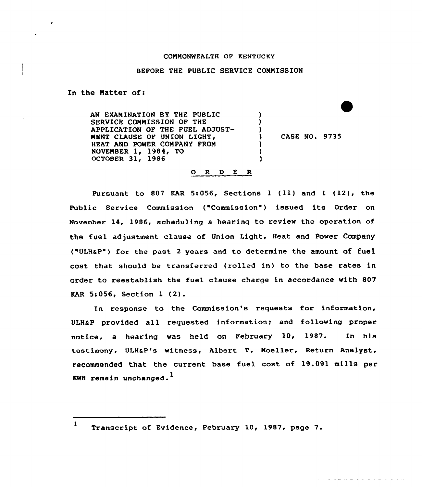## CONNQNWEALTH OF KENTUCKY

## BEFORE THE PUBLIC SERVICE CONNISSION

In the Natter of:

AN EXAMINATION BY THE PUBLIC ) SERVICE CONMISSION OF THE ) APPLICATION OF THE FUEL ADJUST-) NENT CLAUSE OF UNION LIGHT, CASE NO. 9735 J. HEAT AND POWER CONPANY PRON ) NOVEMBER 1, 1984, TO ) OCTOBER 31, 1986 )

## 0 <sup>R</sup> <sup>D</sup> E <sup>R</sup>

Pursuant to 807 KAR 5:056, Sections 1 (11) and 1 (12), the Public Service Commission ("Commission") issued its Order on November 14, 1986, scheduling a hearing to review the operation of the fuel adjustment clause of Union Light, Heat and Power Company ("ULHaP") for the past <sup>2</sup> years and to determine the amount of fuel cost that should be transferred (rolled in) to the base rates in order to reestablish the fuel clause charge in accordance with 807 EAR 5:056, Section <sup>1</sup> (2).

In response to the Commission's requests for information, ULHaP provided all requested information; and following proper notice, a hearing was held on February 10, 1987. In his testimony, ULHaP's witness, Albert T. Noeller, Return Analyst, recommended that the current base fuel cost of 19.091 mills per KWH remain unchanged.<sup>1</sup>

<sup>1</sup> Transcript of Evidence, February 10, 1987, page 7.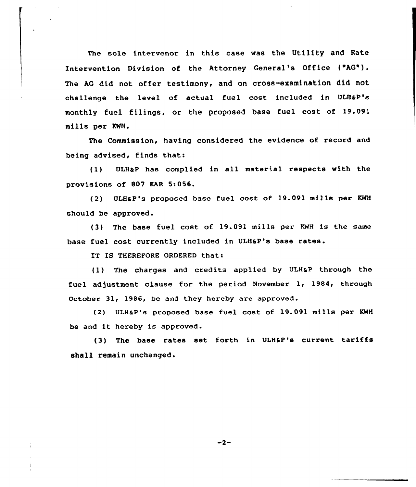The sole intervenor in this case was the Utility and Rate Intervention Division of the Attorney General's Office ("hG"). The AG did not offer testimony, and on cross-examination did not challenge the level of actual fuel cost included in ULHaP's monthly fuel filings, or the proposed base fuel cost of 19.091 mills per KWH.

The Commission, having considered the evidence of record and being advised, finds thats

(1) ULHaP has complied in all material respects with the provisions of 807 EAR 5:056.

(2) ULHSP's proposed base fuel cost of 19.091 mills per KHH should be approved.

(3} The base fuel cost of 19.091 mills per KWH is the same base fuel cost currently included in ULH&P's base rates.

IT IS THEREFORE ORDERED that:

(1) The charges and credits applied by ULHaP through the fuel adjustment clause for the period November 1, 1984, through October 31, 1986, be and they hereby are approved.

(2) ULH&P's proposed base fuel cost of 19.091 mills per KWH be and it hereby is approved.

(3) The base rates set forth in ULHaP's current tariffs shall remain unchanged.

 $-2-$